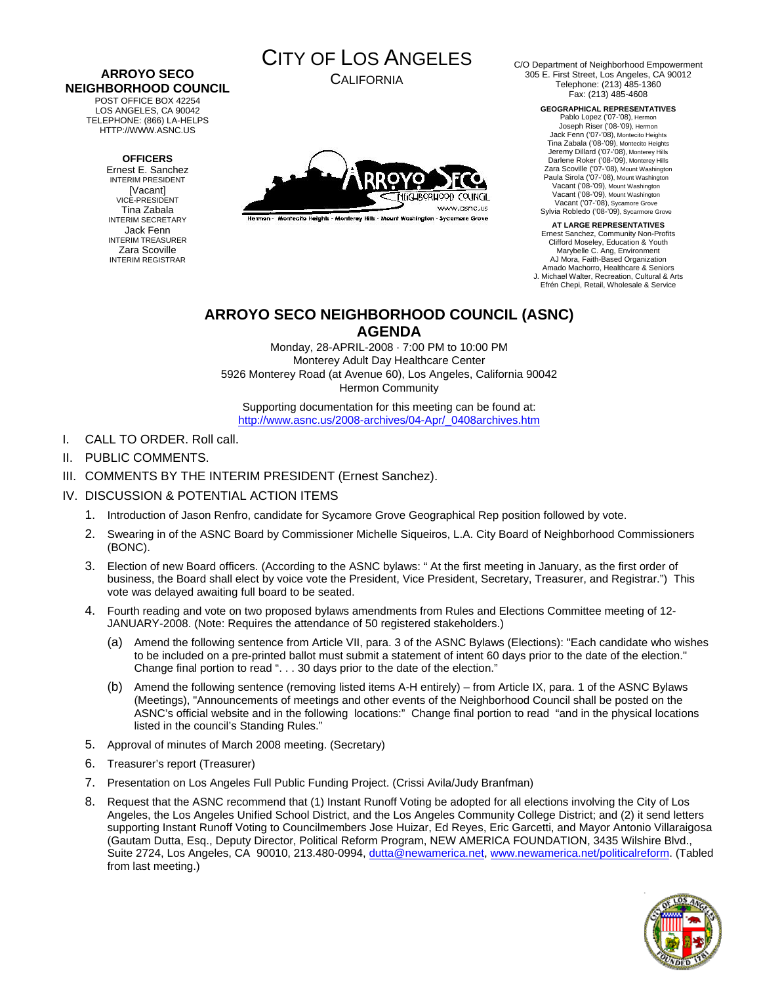#### **ARROYO SECO NEIGHBORHOOD COUNCIL**  POST OFFICE BOX 42254

LOS ANGELES, CA 90042 TELEPHONE: (866) LA-HELPS HTTP://WWW.ASNC.US

#### **OFFICERS**

Ernest E. Sanchez INTERIM PRESIDENT [Vacant] VICE-PRESIDENT Tina Zabala INTERIM SECRETARY Jack Fenn INTERIM TREASURER Zara Scoville INTERIM REGISTRAR

# CITY OF LOS ANGELES

CALIFORNIA



.<br>Hermon - Montecito Helahis - Monterey Hills - Mount Washington - Sycamore Grove

C/O Department of Neighborhood Empowerment 305 E. First Street, Los Angeles, CA 90012 Telephone: (213) 485-1360 Fax: (213) 485-4608

> **GEOGRAPHICAL REPRESENTATIVES**  Pablo Lopez ('07-'08), Hermon Joseph Riser ('08-'09), Hermon Jack Fenn ('07-'08), Montecito Heights Tina Zabala ('08-'09), Montecito Heights Jeremy Dillard ('07-'08), Monterey Hills Darlene Roker ('08-'09), Monterey Hills Zara Scoville ('07-'08), Mount Washington Paula Sirola ('07-'08), Mount Washington Vacant ('08-'09), Mount Washington Vacant ('08-'09), Mount Washington Vacant ('07-'08), Sycamore Grove Sylvia Robledo ('08-'09), Sycarmore Grove

**AT LARGE REPRESENTATIVES**  Ernest Sanchez, Community Non-Profits Clifford Moseley, Education & Youth Marybelle C. Ang, Environment AJ Mora, Faith-Based Organization Amado Machorro, Healthcare & Seniors J. Michael Walter, Recreation, Cultural & Arts Efrén Chepi, Retail, Wholesale & Service

## **ARROYO SECO NEIGHBORHOOD COUNCIL (ASNC) AGENDA**

Monday, 28-APRIL-2008 · 7:00 PM to 10:00 PM Monterey Adult Day Healthcare Center 5926 Monterey Road (at Avenue 60), Los Angeles, California 90042 Hermon Community

Supporting documentation for this meeting can be found at: [http://www.asnc.us/2008-archives/04-Apr/\\_0408archives.htm](http://www.asnc.us/2008-archives/04-Apr/_0408archives.htm)

- I. CALL TO ORDER. Roll call.
- II. PUBLIC COMMENTS.
- III. COMMENTS BY THE INTERIM PRESIDENT (Ernest Sanchez).

### IV. DISCUSSION & POTENTIAL ACTION ITEMS

- 1. Introduction of Jason Renfro, candidate for Sycamore Grove Geographical Rep position followed by vote.
- 2. Swearing in of the ASNC Board by Commissioner Michelle Siqueiros, L.A. City Board of Neighborhood Commissioners (BONC).
- 3. Election of new Board officers. (According to the ASNC bylaws: " At the first meeting in January, as the first order of business, the Board shall elect by voice vote the President, Vice President, Secretary, Treasurer, and Registrar.") This vote was delayed awaiting full board to be seated.
- 4. Fourth reading and vote on two proposed bylaws amendments from Rules and Elections Committee meeting of 12- JANUARY-2008. (Note: Requires the attendance of 50 registered stakeholders.)
	- (a) Amend the following sentence from Article VII, para. 3 of the ASNC Bylaws (Elections): "Each candidate who wishes to be included on a pre-printed ballot must submit a statement of intent 60 days prior to the date of the election." Change final portion to read ". . . 30 days prior to the date of the election."
	- (b) Amend the following sentence (removing listed items A-H entirely) from Article IX, para. 1 of the ASNC Bylaws (Meetings), "Announcements of meetings and other events of the Neighborhood Council shall be posted on the ASNC's official website and in the following locations:" Change final portion to read "and in the physical locations listed in the council's Standing Rules."
- 5. Approval of minutes of March 2008 meeting. (Secretary)
- 6. Treasurer's report (Treasurer)
- 7. Presentation on Los Angeles Full Public Funding Project. (Crissi Avila/Judy Branfman)
- 8. Request that the ASNC recommend that (1) Instant Runoff Voting be adopted for all elections involving the City of Los Angeles, the Los Angeles Unified School District, and the Los Angeles Community College District; and (2) it send letters supporting Instant Runoff Voting to Councilmembers Jose Huizar, Ed Reyes, Eric Garcetti, and Mayor Antonio Villaraigosa (Gautam Dutta, Esq., Deputy Director, Political Reform Program, NEW AMERICA FOUNDATION, 3435 Wilshire Blvd., Suite 2724, Los Angeles, CA 90010, 213.480-0994, [dutta@newamerica.net,](mailto:dutta@newamerica.net) [www.newamerica.net/politicalreform.](http://www.newamerica.net/politicalreform) (Tabled from last meeting.)

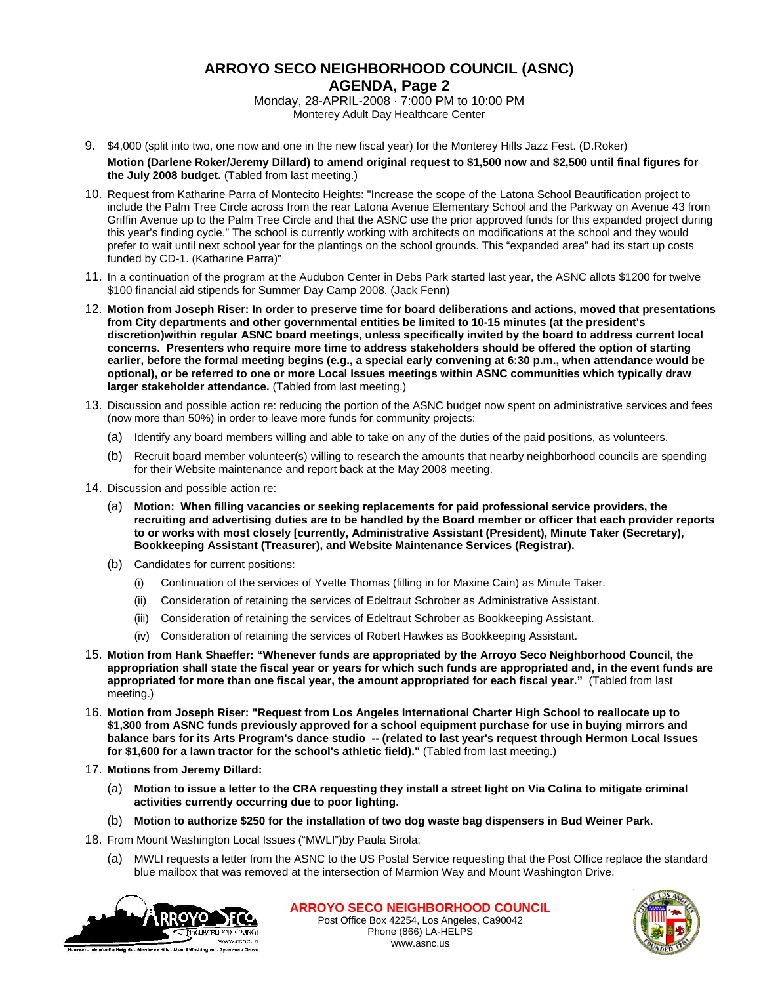## **ARROYO SECO NEIGHBORHOOD COUNCIL (ASNC) AGENDA, Page 2**

Monday, 28-APRIL-2008 · 7:000 PM to 10:00 PM Monterey Adult Day Healthcare Center

- 9. \$4,000 (split into two, one now and one in the new fiscal year) for the Monterey Hills Jazz Fest. (D.Roker) **Motion (Darlene Roker/Jeremy Dillard) to amend original request to \$1,500 now and \$2,500 until final figures for the July 2008 budget.** (Tabled from last meeting.)
- 10. Request from Katharine Parra of Montecito Heights: "Increase the scope of the Latona School Beautification project to include the Palm Tree Circle across from the rear Latona Avenue Elementary School and the Parkway on Avenue 43 from Griffin Avenue up to the Palm Tree Circle and that the ASNC use the prior approved funds for this expanded project during this year's finding cycle." The school is currently working with architects on modifications at the school and they would prefer to wait until next school year for the plantings on the school grounds. This "expanded area" had its start up costs funded by CD-1. (Katharine Parra)"
- 11. In a continuation of the program at the Audubon Center in Debs Park started last year, the ASNC allots \$1200 for twelve \$100 financial aid stipends for Summer Day Camp 2008. (Jack Fenn)
- 12. **Motion from Joseph Riser: In order to preserve time for board deliberations and actions, moved that presentations from City departments and other governmental entities be limited to 10-15 minutes (at the president's discretion)within regular ASNC board meetings, unless specifically invited by the board to address current local concerns. Presenters who require more time to address stakeholders should be offered the option of starting earlier, before the formal meeting begins (e.g., a special early convening at 6:30 p.m., when attendance would be optional), or be referred to one or more Local Issues meetings within ASNC communities which typically draw larger stakeholder attendance.** (Tabled from last meeting.)
- 13. Discussion and possible action re: reducing the portion of the ASNC budget now spent on administrative services and fees (now more than 50%) in order to leave more funds for community projects:
	- (a) Identify any board members willing and able to take on any of the duties of the paid positions, as volunteers.
	- (b) Recruit board member volunteer(s) willing to research the amounts that nearby neighborhood councils are spending for their Website maintenance and report back at the May 2008 meeting.
- 14. Discussion and possible action re:
	- (a) **Motion: When filling vacancies or seeking replacements for paid professional service providers, the recruiting and advertising duties are to be handled by the Board member or officer that each provider reports to or works with most closely [currently, Administrative Assistant (President), Minute Taker (Secretary), Bookkeeping Assistant (Treasurer), and Website Maintenance Services (Registrar).**
	- (b) Candidates for current positions:
		- (i) Continuation of the services of Yvette Thomas (filling in for Maxine Cain) as Minute Taker.
		- (ii) Consideration of retaining the services of Edeltraut Schrober as Administrative Assistant.
		- (iii) Consideration of retaining the services of Edeltraut Schrober as Bookkeeping Assistant.
		- (iv) Consideration of retaining the services of Robert Hawkes as Bookkeeping Assistant.
- 15. **Motion from Hank Shaeffer: "Whenever funds are appropriated by the Arroyo Seco Neighborhood Council, the appropriation shall state the fiscal year or years for which such funds are appropriated and, in the event funds are appropriated for more than one fiscal year, the amount appropriated for each fiscal year."** (Tabled from last meeting.)
- 16. **Motion from Joseph Riser: "Request from Los Angeles International Charter High School to reallocate up to \$1,300 from ASNC funds previously approved for a school equipment purchase for use in buying mirrors and balance bars for its Arts Program's dance studio -- (related to last year's request through Hermon Local Issues for \$1,600 for a lawn tractor for the school's athletic field)."** (Tabled from last meeting.)
- 17. **Motions from Jeremy Dillard:** 
	- (a) **Motion to issue a letter to the CRA requesting they install a street light on Via Colina to mitigate criminal activities currently occurring due to poor lighting.**
	- (b) **Motion to authorize \$250 for the installation of two dog waste bag dispensers in Bud Weiner Park.**
- 18. From Mount Washington Local Issues ("MWLI")by Paula Sirola:
	- (a) MWLI requests a letter from the ASNC to the US Postal Service requesting that the Post Office replace the standard blue mailbox that was removed at the intersection of Marmion Way and Mount Washington Drive.



**ARROYO SECO NEIGHBORHOOD COUNCIL** Post Office Box 42254, Los Angeles, Ca90042 Phone (866) LA-HELPS www.asnc.us